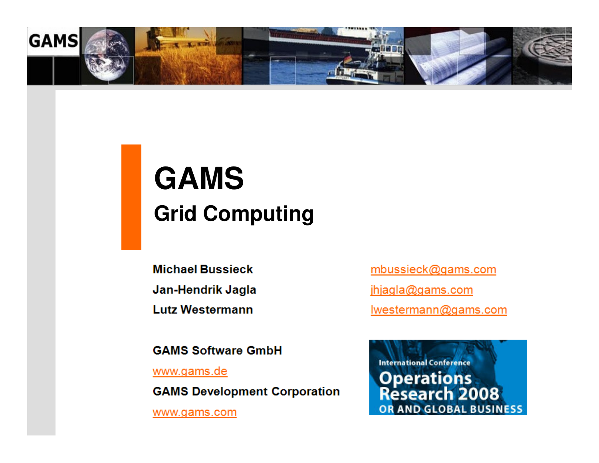

# **GAMSGrid Computing**

**Michael Bussieck** 

Jan-Hendrik Jagla

**Lutz Westermann** 

**GAMS Software GmbH** 

www.gams.de

**GAMS Development Corporation** 

www.gams.com

mbussieck@gams.com jhjagla@gams.com Iwestermann@gams.com

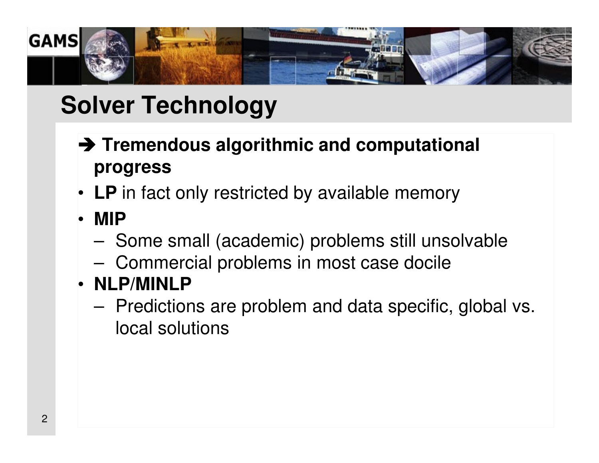

# **Solver Technology**

- **Tremendous algorithmic and computational<br>
progress progress**
- **LP** in fact only restricted by available memory
- **MIP**
	- –- Some small (academic) problems still unsolvable
	- –Commercial problems in most case docile
- **NLP/MINLP**
	- Pradictic Predictions are problem and data specific, global vs. local solutions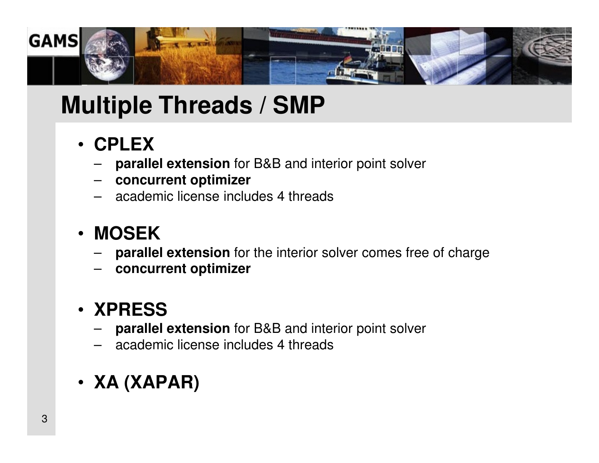

## **Multiple Threads / SMP**

- **CPLEX**
	- **parallel extension** for B&B and interior point solver
	- **concurrent optimizer**
	- academic license includes 4 threads

#### • **MOSEK**

- **parallel extension** for the interior solver comes free of charge –
- **concurrent optimizer**

#### • **XPRESS**

- **parallel extension** for B&B and interior point solver
- academic license includes 4 threads
- **XA (XAPAR)**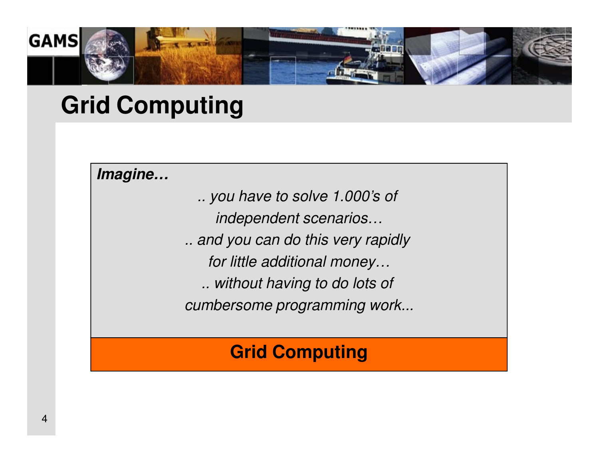

## **Grid Computing**

**Imagine…** 

.. you have to solve 1.000's of independent scenarios… .. and you can do this very rapidly for little additional money… .. without having to do lots of cumbersome programming work...

#### **Grid Computing**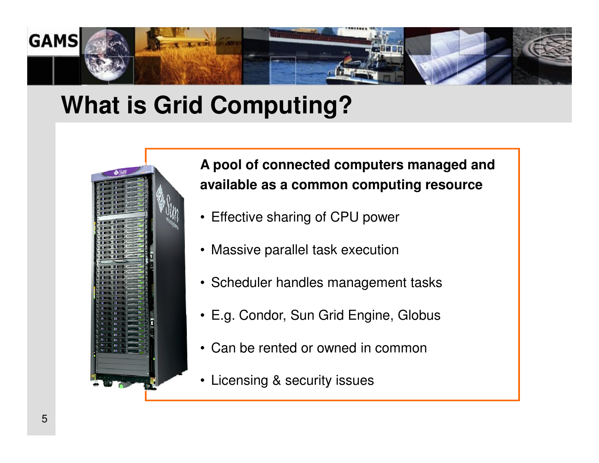

## **What is Grid Computing?**



#### **A pool of connected computers managed andavailable as a common computing resource**

- Effective sharing of CPU power
- Massive parallel task execution
- Scheduler handles management tasks
- E.g. Condor, Sun Grid Engine, Globus
- Can be rented or owned in common
- $\bullet$ Licensing & security issues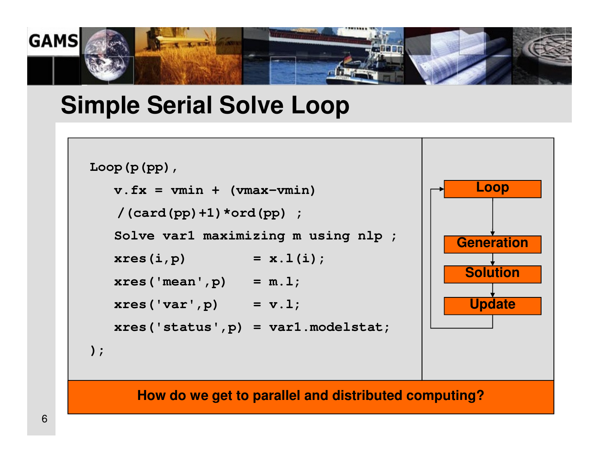

### **Simple Serial Solve Loop**

```
Loop(p(pp),v.fx = vmin + (vmax-vmin)/(card(pp)+1)*ord(pp) ;Solve var1 maximizing m using nlp ;
                                              Loopxres(i, p) = x.l(i);xres('mean',p) = m.l;xres('var',p) = v.l;xres('status',p) = var1.modelstat; 
);GenerationSolutionUpdate
```
**How do we get to parallel and distributed computing?**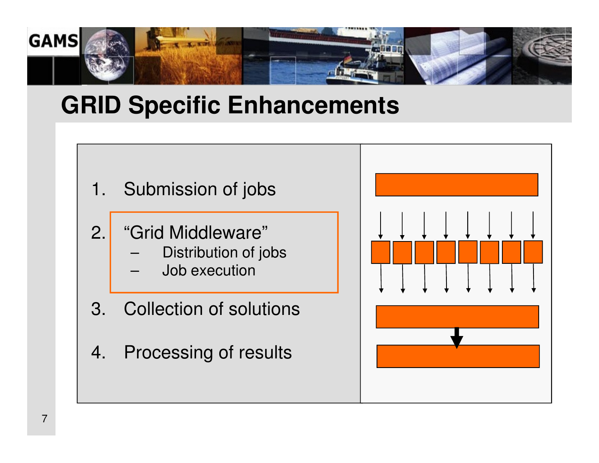

## **GRID Specific Enhancements**

- 1. Submission of jobs
- 2. "Grid Middleware"
	- Distribution of jobs
	- Job execution
- 3. Collection of solutions
- 4. Processing of results



7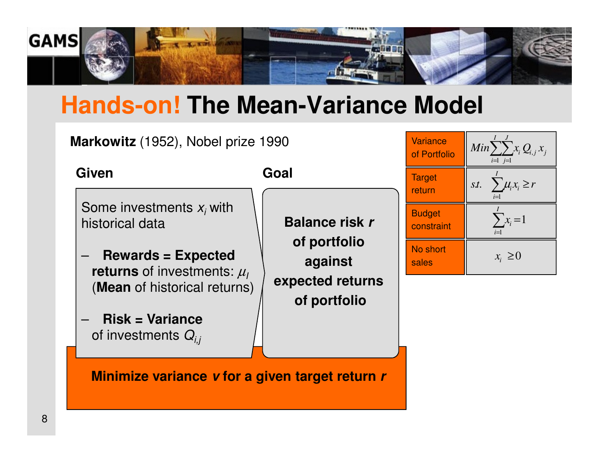

# **Hands-on! The Mean-Variance Model**

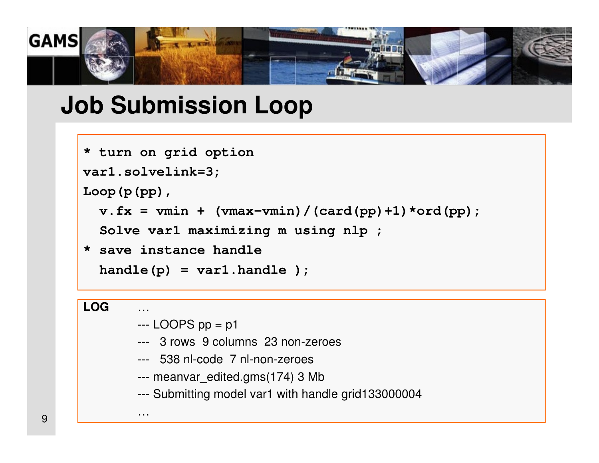

### **Job Submission Loop**

```
* turn on grid optionvar1.solvelink=3;Loop(p(pp),v.fx = vmin + (vmax-vmin) / (card(pp) + 1) * ord(pp);
  Solve var1 maximizing m using nlp ;
* save instance handlehandle(p) = var1.handle );
```

```
LOG—<br>…
```
--- LOOPS pp = p1

…

- --- 3 rows 9 columns 23 non-zeroes
- --- 538 nl-code 7 nl-non-zeroes
- --- meanvar\_edited.gms(174) 3 Mb
- --- Submitting model var1 with handle grid133000004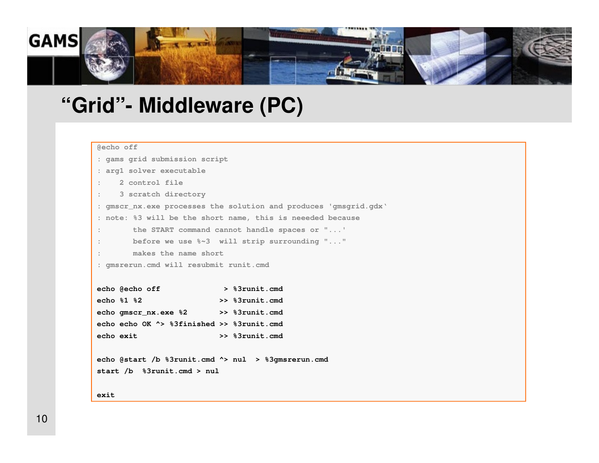

#### **"Grid"- Middleware (PC)**

```
@echo off
```
 **: gams grid submission script : arg1 solver executable: 2 control file: 3 scratch directory: gmscr\_nx.exe processes the solution and produces 'gmsgrid.gdx': note: %3 will be the short name, this is neeeded because : the START command cannot handle spaces or "...' : before we use %~3 will strip surrounding "...": makes the name short: gmsrerun.cmd will resubmit runit.cmdecho @echo off > %3runit.cmd echo %1 %2 >> %3runit.cmd echo gmscr\_nx.exe %2 >> %3runit.cmdecho echo OK ^> %3finished >> %3runit.cmd echo exit >> %3runit.cmdecho @start /b %3runit.cmd ^> nul > %3gmsrerun.cmd**

**start /b %3runit.cmd > nul**

**exit**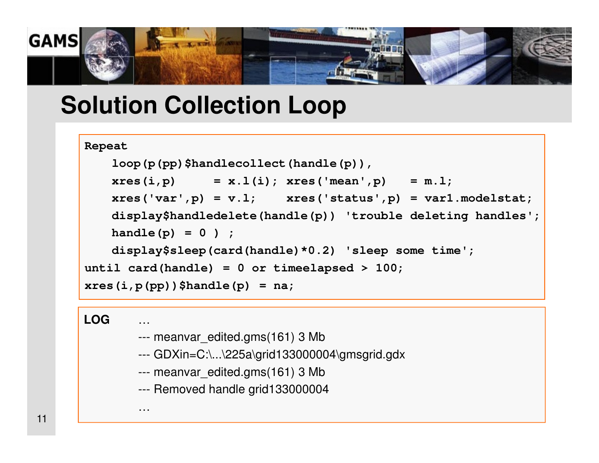

## **Solution Collection Loop**

```
Repeat
```

```
loop(p(pp)$handlecollect(handle(p)),xres(i, p) = x.l(i); xres('mean', p) = m.l;xres('var',p) = v.l; xres('status',p) = var1.modelstat;display$handledelete(handle(p)) 'trouble deleting handles';handle(p) = 0 ) ;
display$sleep(card(handle)*0.2) 'sleep some time';until card(handle) = 0 or timeelapsed > 100;
xres(i,p(pp))$handle(p) = na;
```
**LOG**

…

…

- --- meanvar\_edited.gms(161) 3 Mb
- --- GDXin=C:\...\225a\grid133000004\gmsgrid.gdx
- --- meanvar\_edited.gms(161) 3 Mb
- --- Removed handle grid133000004

11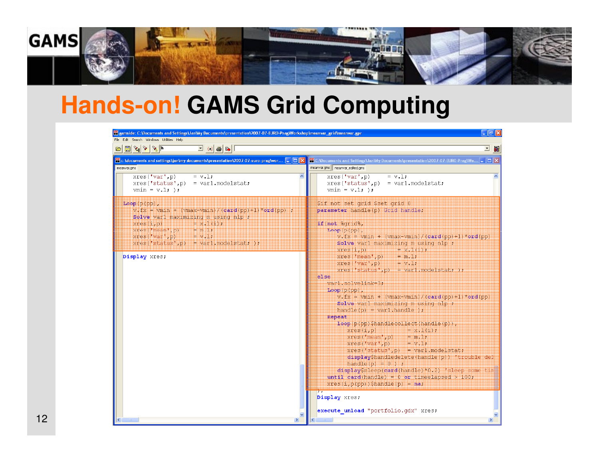

# **Hands-on! GAMS Grid Computing**

| File Edit Search Windows Utilities Help<br>$\mathbf{E}\left[\left.\mathbf{E}\right \mathbf{A}\right]\mathbf{A}\left.\mathbf{A}\right]\mathbf{A}$<br>$\begin{array}{ c c c c c }\hline \textbf{1} & \textbf{(a)} & \textbf{B} & \textbf{B} & \textbf{B} & \textbf{B} & \textbf{A} & \textbf{B} & \textbf{B} & \textbf{A} & \textbf{B} & \textbf{B} & \textbf{A} & \textbf{A} & \textbf{B} & \textbf{A} & \textbf{A} & \textbf{A} & \textbf{A} & \textbf{A} & \textbf{A} & \textbf{A} & \textbf{A} & \textbf{A} & \textbf{A} & \textbf{A} & \textbf{A} & \textbf{A} & \textbf{A$ | □ 6%                                                                                                                                                                                                                                                                                                                                                                                                                                                                                                                                                                                                                                                                                                                                                                                                                                                                                                                                                                                  |
|--------------------------------------------------------------------------------------------------------------------------------------------------------------------------------------------------------------------------------------------------------------------------------------------------------------------------------------------------------------------------------------------------------------------------------------------------------------------------------------------------------------------------------------------------------------------------------|---------------------------------------------------------------------------------------------------------------------------------------------------------------------------------------------------------------------------------------------------------------------------------------------------------------------------------------------------------------------------------------------------------------------------------------------------------------------------------------------------------------------------------------------------------------------------------------------------------------------------------------------------------------------------------------------------------------------------------------------------------------------------------------------------------------------------------------------------------------------------------------------------------------------------------------------------------------------------------------|
|                                                                                                                                                                                                                                                                                                                                                                                                                                                                                                                                                                                |                                                                                                                                                                                                                                                                                                                                                                                                                                                                                                                                                                                                                                                                                                                                                                                                                                                                                                                                                                                       |
| <b>PE</b> c:\documents and settings\jan\my documents\presentation\2007-07-euro-prag\wor $\boxed{\blacksquare}$ $\boxed{\blacksquare}$<br><b>PF</b> C: \Documents and Settings\Jan\My Documents\presentation\2007-07-EURO-Prag\Wo $\blacksquare$ $\square$ $\blacktriangleright$ $\blacktriangle$<br>meanvar.gms meanvar edited.gms<br>meanvar.gms<br>xres('var', p)<br>$= v \cdot 1$ ;<br>xres('var', p)<br>$= v \cdot 1$ ;                                                                                                                                                    |                                                                                                                                                                                                                                                                                                                                                                                                                                                                                                                                                                                                                                                                                                                                                                                                                                                                                                                                                                                       |
| $xres('status', p) = var1$ . modelstat;<br>$vmin = v.1;$ );                                                                                                                                                                                                                                                                                                                                                                                                                                                                                                                    | $xres('status', p) = var1$ . modelstat;<br>$vmin = v.l$ ; );                                                                                                                                                                                                                                                                                                                                                                                                                                                                                                                                                                                                                                                                                                                                                                                                                                                                                                                          |
| $Loop(p(p)$ ,<br>$v.Fx = vmin + (vmax-vmin) / (card(np) + 1) * ord(pp)$ :<br>Solve varl maximizing m using nlp ;<br>xres(1, p) =<br>$= 8.1(1)$ ;<br>$xres('mean', p) = m.1;$<br>xres('var', p) = $v.1$ ;<br>$xres('status', p) = var1.modelstat;$<br>Display xres;<br>else<br>$\rightarrow$                                                                                                                                                                                                                                                                                    | \$if not set grid \$set grid 0<br>parameter handle(p) Grid handle;<br>if (not %grid%,<br>$Loop(p(p)$ ,<br>$v.Fx = vmin + (vmax-vmin) / (card(pp)+1) * ord(pp)$<br>Solve varl maximizing m using nlp ;<br>xres(i, p) Minimum Hx.1(i);<br>$xres('mean', p) = m, 1;$<br>$xres('var',p)$ = $v,1;$<br>$Xres('status', p) = var1$ . modelstat; );<br>var1.solvelink=8;<br>$Loop(p(pp)$ ,<br>$v_x f_X = vmin + (vmax-vmin) / (card(pD) + 1) * ord(pD)$<br>Solve varl maximizing m using nlp ;<br>$handle(p) = var1.handle$ );<br>Repeat<br>loop(p(pp)\$handlecollect(handle(p)),<br>$xres(1, p)$ = $x.1(1)$ ;<br>$xres("mean", p) = m, 1;$<br>$xres('var',p)$ = $v, 1;$<br>$xres('status', p) = var1 modelstat;$<br>displayShandledelete(handle(p)) 'trouble del<br>handle $(p) = 0$ ) :<br>display\$sleep(card(handle)*0.2) 'sleep some tim<br>until card(handle) = $0$ or timeelapsed > 100;<br>$Xres(i, p(pp))$ Shandle(p) = na;<br>Display xres;<br>execute unload "portfolio.gdx" xres; |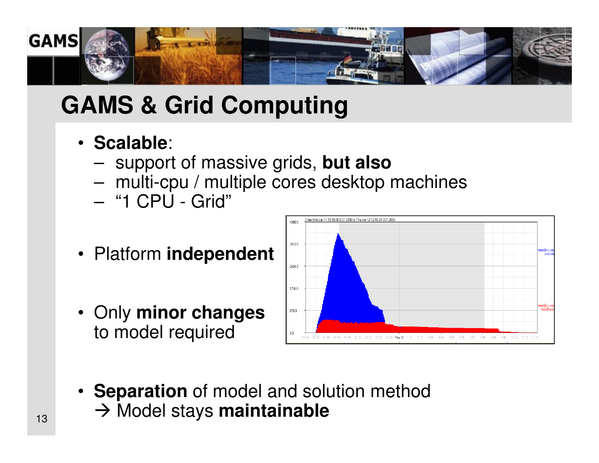

## **GAMS & Grid Computing**

- **Scalable**:
	- –support of massive grids, **but also**
	- $-$  multi-couplement multiple cores desktor multi-cpu / multiple cores desktop machines
	- –"1 CPU - Grid"
- Platform **independent**
- Only **minor changes**to model required



• **Separation** of model and solution method <sub>13</sub> → Model stays **maintainable**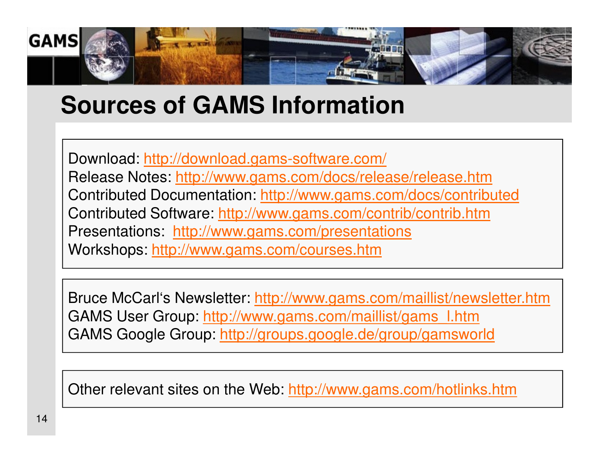

## **Sources of GAMS Information**

Download: http://download.gams-software.com/Release Notes: http://www.gams.com/docs/release/release.htmContributed Documentation: <u>http://www.gams.com/docs/contributed</u> Contributed Software: http://www.gams.com/contrib/contrib.htmPresentations: http://www.gams.com/presentationsWorkshops: http://www.gams.com/courses.htm

Bruce McCarl's Newsletter: http://www.gams.com/maillist/newsletter.htmGAMS User Group: http://www.gams.com/maillist/gams l.htm GAMS Google Group: <u>http://groups.google.de/group/gamsworld</u>

Other relevant sites on the Web: http://www.gams.com/hotlinks.htm